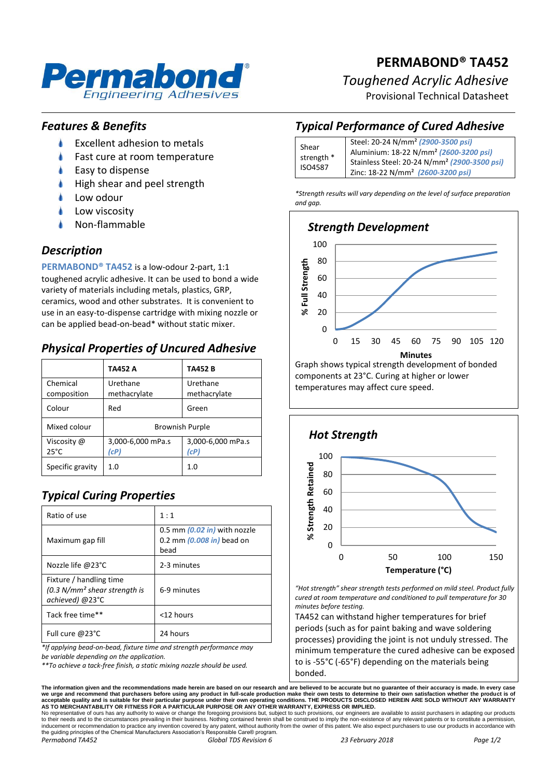

# **PERMABOND® TA452**

## *Toughened Acrylic Adhesive*

Provisional Technical Datasheet

## *Features & Benefits*

- ۸ Excellent adhesion to metals
- Fast cure at room temperature
- Easy to dispense
- High shear and peel strength
- Low odour
- Low viscosity
- Non-flammable

## *Description*

**PERMABOND® TA452** is a low-odour 2-part, 1:1 toughened acrylic adhesive. It can be used to bond a wide variety of materials including metals, plastics, GRP, ceramics, wood and other substrates. It is convenient to use in an easy-to-dispense cartridge with mixing nozzle or can be applied bead-on-bead\* without static mixer.

# *Physical Properties of Uncured Adhesive*

|                               | TA452 A                   | <b>TA452B</b>             |
|-------------------------------|---------------------------|---------------------------|
| Chemical<br>composition       | Urethane<br>methacrylate  | Urethane<br>methacrylate  |
| Colour                        | Red                       | Green                     |
| Mixed colour                  | <b>Brownish Purple</b>    |                           |
| Viscosity @<br>$25^{\circ}$ C | 3,000-6,000 mPa.s<br>(cP) | 3,000-6,000 mPa.s<br>(cP) |
| Specific gravity              | 1.0                       | 1.0                       |

# *Typical Curing Properties*

| Ratio of use                                                                 | 1:1                                                                           |
|------------------------------------------------------------------------------|-------------------------------------------------------------------------------|
| Maximum gap fill                                                             | 0.5 mm $(0.02 \text{ in})$ with nozzle<br>0.2 mm $(0.008$ in) bead on<br>bead |
| Nozzle life @23°C                                                            | 2-3 minutes                                                                   |
| Fixture / handling time<br>$(0.3 N/mm2 shear strength is$<br>achieved) @23°C | 6-9 minutes                                                                   |
| Tack free time**                                                             | <12 hours                                                                     |
| Full cure @23°C                                                              | 24 hours                                                                      |

*\*If applying bead-on-bead, fixture time and strength performance may* 

*be variable depending on the application.*

*\*\*To achieve a tack-free finish, a static mixing nozzle should be used.*

# *Typical Performance of Cured Adhesive*

| Shear<br>strength *<br>ISO4587 | Steel: 20-24 N/mm <sup>2</sup> (2900-3500 psi)           |  |
|--------------------------------|----------------------------------------------------------|--|
|                                | Aluminium: 18-22 N/mm <sup>2</sup> (2600-3200 psi)       |  |
|                                | Stainless Steel: 20-24 N/mm <sup>2</sup> (2900-3500 psi) |  |
|                                | Zinc: 18-22 N/mm <sup>2</sup> (2600-3200 psi)            |  |

*\*Strength results will vary depending on the level of surface preparation and gap.*



temperatures may affect cure speed.



*"Hot strength" shear strength tests performed on mild steel. Product fully cured at room temperature and conditioned to pull temperature for 30 minutes before testing.*

TA452 can withstand higher temperatures for brief periods (such as for paint baking and wave soldering processes) providing the joint is not unduly stressed. The minimum temperature the cured adhesive can be exposed to is -55°C (-65°F) depending on the materials being bonded.

The information given and the recommendations made herein are based on our research and are believed to be accurate but no guarantee of their accuracy is made. In every case<br>we urge and recommend that purchasers before usi

No representative of ours has any authority to waive or change the foregoing provisions but, subject to such provisions, our engineers are available to assist purchasers in adapting our products<br>to their needs and to the c the guiding principles of the Chemical Manufacturers Association's Responsible Care® program. *Permabond TA452 Global TDS Revision 6 23 February 2018 Page 1/2*